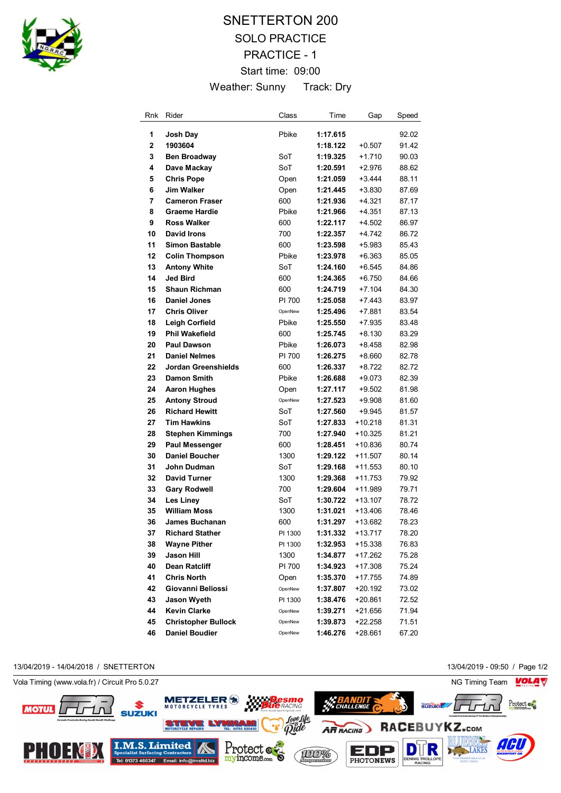

# SNETTERTON 200 SOLO PRACTICE PRACTICE - 1 Start time: 09:00 Weather: Sunny Track: Dry

| Rnk         | Rider                      | Class   | Time     | Gap       | Speed |
|-------------|----------------------------|---------|----------|-----------|-------|
| 1           | Josh Day                   | Pbike   | 1:17.615 |           | 92.02 |
| $\mathbf 2$ | 1903604                    |         | 1:18.122 | $+0.507$  | 91.42 |
| 3           | <b>Ben Broadway</b>        | SoT     | 1:19.325 | $+1.710$  | 90.03 |
| 4           | Dave Mackay                | SoT     | 1:20.591 | $+2.976$  | 88.62 |
| 5           | <b>Chris Pope</b>          | Open    | 1:21.059 | $+3.444$  | 88.11 |
| 6           | <b>Jim Walker</b>          | Open    | 1:21.445 | $+3.830$  | 87.69 |
| 7           | <b>Cameron Fraser</b>      | 600     | 1:21.936 | +4.321    | 87.17 |
| 8           | <b>Graeme Hardie</b>       | Pbike   | 1:21.966 | $+4.351$  | 87.13 |
| 9           | <b>Ross Walker</b>         | 600     | 1:22.117 | $+4.502$  | 86.97 |
| 10          | <b>David Irons</b>         | 700     | 1:22.357 | $+4.742$  | 86.72 |
| 11          | <b>Simon Bastable</b>      | 600     | 1:23.598 | $+5.983$  | 85.43 |
| 12          | <b>Colin Thompson</b>      | Pbike   | 1:23.978 | $+6.363$  | 85.05 |
| 13          | <b>Antony White</b>        | SoT     | 1:24.160 | $+6.545$  | 84.86 |
| 14          | <b>Jed Bird</b>            | 600     | 1:24.365 | $+6.750$  | 84.66 |
| 15          | <b>Shaun Richman</b>       | 600     | 1:24.719 | $+7.104$  | 84.30 |
| 16          | <b>Daniel Jones</b>        | PI 700  | 1:25.058 | $+7.443$  | 83.97 |
| 17          | <b>Chris Oliver</b>        | OpenNew | 1:25.496 | +7.881    | 83.54 |
| 18          | Leigh Corfield             | Pbike   | 1:25.550 | +7.935    | 83.48 |
| 19          | <b>Phil Wakefield</b>      | 600     | 1:25.745 | +8.130    | 83.29 |
| 20          | <b>Paul Dawson</b>         | Pbike   | 1:26.073 | $+8.458$  | 82.98 |
| 21          | <b>Daniel Nelmes</b>       | PI 700  | 1:26.275 | $+8.660$  | 82.78 |
| 22          | Jordan Greenshields        | 600     | 1:26.337 | +8.722    | 82.72 |
| 23          | <b>Damon Smith</b>         | Pbike   | 1:26.688 | +9.073    | 82.39 |
| 24          | <b>Aaron Hughes</b>        | Open    | 1:27.117 | +9.502    | 81.98 |
| 25          | <b>Antony Stroud</b>       | OpenNew | 1:27.523 | +9.908    | 81.60 |
| 26          | <b>Richard Hewitt</b>      | SoT     | 1:27.560 | $+9.945$  | 81.57 |
| 27          | <b>Tim Hawkins</b>         | SoT     | 1:27.833 | $+10.218$ | 81.31 |
| 28          | <b>Stephen Kimmings</b>    | 700     | 1:27.940 | $+10.325$ | 81.21 |
| 29          | <b>Paul Messenger</b>      | 600     | 1:28.451 | $+10.836$ | 80.74 |
| 30          | <b>Daniel Boucher</b>      | 1300    | 1:29.122 | +11.507   | 80.14 |
| 31          | John Dudman                | SoT     | 1:29.168 | +11.553   | 80.10 |
| 32          | <b>David Turner</b>        | 1300    | 1:29.368 | $+11.753$ | 79.92 |
| 33          | <b>Gary Rodwell</b>        | 700     | 1:29.604 | +11.989   | 79.71 |
| 34          | Les Linev                  | SoT     | 1:30.722 | $+13.107$ | 78.72 |
| 35          | <b>William Moss</b>        | 1300    | 1:31.021 | +13.406   | 78.46 |
| 36          | <b>James Buchanan</b>      | 600     | 1:31.297 | +13.682   | 78.23 |
| 37          | <b>Richard Stather</b>     | PI 1300 | 1:31.332 | +13.717   | 78.20 |
| 38          | <b>Wayne Pither</b>        | PI 1300 | 1:32.953 | +15.338   | 76.83 |
| 39          | Jason Hill                 | 1300    | 1:34.877 | +17.262   | 75.28 |
| 40          | Dean Ratcliff              | PI 700  | 1:34.923 | $+17.308$ | 75.24 |
| 41          | <b>Chris North</b>         | Open    | 1:35.370 | +17.755   | 74.89 |
| 42          | Giovanni Beliossi          | OpenNew | 1:37.807 | +20.192   | 73.02 |
| 43          | <b>Jason Wyeth</b>         | PI 1300 | 1:38.476 | +20.861   | 72.52 |
| 44          | <b>Kevin Clarke</b>        | OpenNew | 1:39.271 | +21.656   | 71.94 |
| 45          | <b>Christopher Bullock</b> | OpenNew | 1:39.873 | +22.258   | 71.51 |
| 46          | <b>Daniel Boudier</b>      | OpenNew | 1:46.276 | +28.661   | 67.20 |

13/04/2019 - 14/04/2018 / SNETTERTON 13/04/2019 - 09:50 / Page 1/2



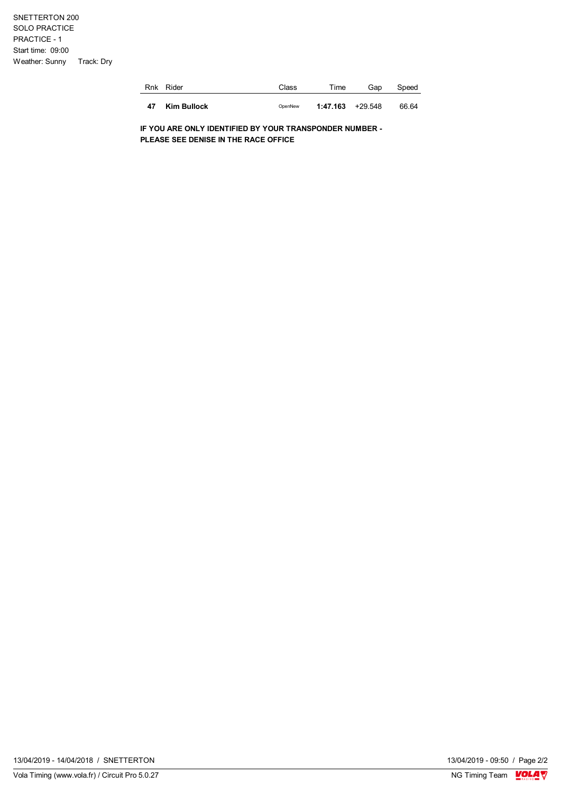SNETTERTON 200 SOLO PRACTICE PRACTICE - 1 Start time: 09:00 Weather: Sunny Track: Dry

| Rnk | Rider       | Class   | Time               | Gap | Speed |
|-----|-------------|---------|--------------------|-----|-------|
| 47  | Kim Bullock | OpenNew | $1:47.163$ +29.548 |     | 66 64 |

**IF YOU ARE ONLY IDENTIFIED BY YOUR TRANSPONDER NUMBER - PLEASE SEE DENISE IN THE RACE OFFICE**

13/04/2019 - 09:50 / Page 2/2<br>NG Timing Team  $\frac{\text{VOLA}}{\text{V}}$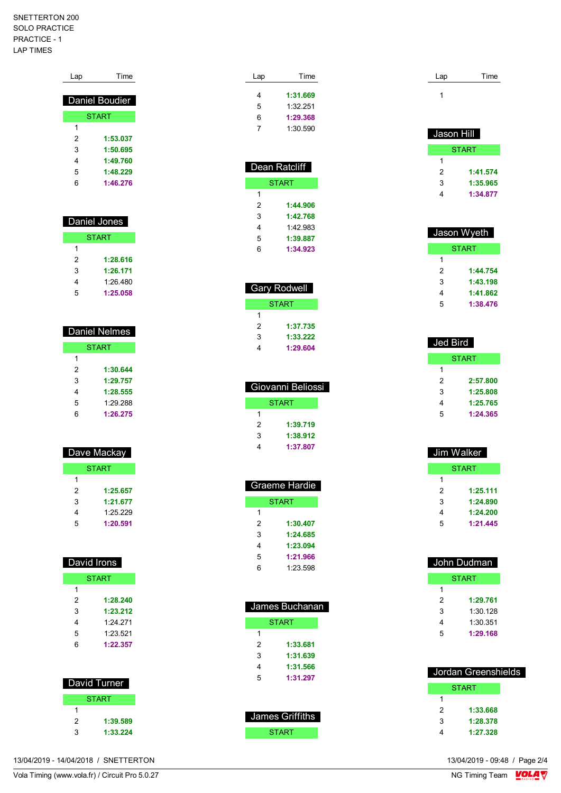#### SNETTERTON 200 SOLO PRACTICE PRACTICE - 1 LAP TIMES

|                         | Daniel Boudier               |  |
|-------------------------|------------------------------|--|
|                         | <b>START</b>                 |  |
| 1                       |                              |  |
| $\overline{\mathbf{c}}$ | 1:53.037                     |  |
| 3                       | 1:50.695                     |  |
| 4                       | 1:49.760                     |  |
| 5                       | 1:48.229                     |  |
| 6                       | 1:46.276                     |  |
|                         | Daniel Jones<br><b>START</b> |  |
| 1                       |                              |  |
| 2                       | 1:28.616                     |  |
| 3                       | 1:26.171                     |  |
| 4                       | 1:26.480                     |  |
| 5                       | 1:25.058                     |  |
|                         |                              |  |
| <b>Daniel Nelmes</b>    |                              |  |
| <b>START</b>            |                              |  |

Lap Time

| 1 |          |
|---|----------|
| 2 | 1:30.644 |
| 3 | 1:29.757 |
| 4 | 1:28.555 |
| 5 | 1:29.288 |
| հ | 1:26.275 |

| Dave Mackay |
|-------------|
|             |
|             |
|             |
|             |

| <b>START</b> |          |  |
|--------------|----------|--|
| 1            |          |  |
| 2            | 1:25.657 |  |
| 3            | 1:21.677 |  |
| 4            | 1:25.229 |  |
| 5            | 1:20.591 |  |

| David Irons |              |  |  |
|-------------|--------------|--|--|
|             | <b>START</b> |  |  |
| 1           |              |  |  |
| 2           | 1:28.240     |  |  |
| 3           | 1:23.212     |  |  |
| 4           | 1.24 271     |  |  |
| 5           | 1.23.521     |  |  |
| հ           | 1:22.357     |  |  |
|             |              |  |  |

|   | David Turner |
|---|--------------|
|   | <b>START</b> |
|   |              |
| 2 | 1:39.589     |
| 3 | 1:33.224     |

| Lap | Time     |  |
|-----|----------|--|
| 4   | 1:31.669 |  |
| 5   | 1:32 251 |  |
| 6   | 1:29.368 |  |
| 7   | 1:30.590 |  |
|     |          |  |

| Dean Ratcliff         |              |  |
|-----------------------|--------------|--|
|                       | <b>START</b> |  |
| 1                     |              |  |
| 2                     | 1:44.906     |  |
| 3                     | 1:42.768     |  |
| 4                     | 1.42983      |  |
| 5                     | 1:39.887     |  |
| $\boldsymbol{\kappa}$ | 1:34.923     |  |

| <b>Gary Rodwell</b> |          |  |
|---------------------|----------|--|
| START               |          |  |
| 1                   |          |  |
| 2                   | 1:37.735 |  |
| 3                   | 1:33.222 |  |
| 4                   | 1:29.604 |  |
|                     |          |  |

| Giovanni Beliossi |              |  |
|-------------------|--------------|--|
|                   | <b>START</b> |  |
|                   |              |  |
| 2                 | 1:39.719     |  |
| 3                 | 1:38.912     |  |
|                   | 1:37.807     |  |

|   | Graeme Hardie |
|---|---------------|
|   | <b>START</b>  |
| 1 |               |
| 2 | 1:30.407      |
| 3 | 1:24.685      |
| 4 | 1:23.094      |
| 5 | 1:21.966      |
| 6 | 1:23.598      |

|   | James Buchanan |
|---|----------------|
|   | <b>START</b>   |
|   |                |
| 2 | 1:33.681       |
| 3 | 1:31.639       |
| 4 | 1:31.566       |
| 5 | 1:31.297       |
|   |                |
|   |                |

| James Griffiths |
|-----------------|
| <b>START</b>    |

| Lap | Time |
|-----|------|
|     |      |

| Jason Hill |          |
|------------|----------|
|            | START    |
| 1          |          |
| 2          | 1:41.574 |
| 3          | 1:35.965 |
|            | 1:34.877 |

|   | Jason Wyeth |
|---|-------------|
|   | START       |
| 1 |             |
| 2 | 1:44.754    |
| 3 | 1:43.198    |
| 4 | 1:41.862    |
| 5 | 1:38.476    |

| <b>Jed Bird</b> |          |
|-----------------|----------|
|                 | START    |
| 1               |          |
| 2               | 2:57.800 |
| 3               | 1:25.808 |
| 4               | 1:25.765 |
| 5               | 1:24.365 |

| Jim Walker |          |
|------------|----------|
|            | START    |
| 1          |          |
| 2          | 1:25.111 |
| 3          | 1:24.890 |
| 4          | 1:24.200 |
| 5          | 1:21.445 |
|            |          |

|   | John Dudman  |
|---|--------------|
|   | <b>START</b> |
| 1 |              |
| 2 | 1:29.761     |
| 3 | 1:30.128     |
| 4 | 1:30.351     |
| 5 | 1:29.168     |
|   |              |

|   | Jordan Greenshields |  |
|---|---------------------|--|
|   | <b>START</b>        |  |
| 1 |                     |  |
| 2 | 1:33.668            |  |
| 3 | 1:28.378            |  |
|   | 1:27.328            |  |

13/04/2019 - 14/04/2018 / SNETTERTON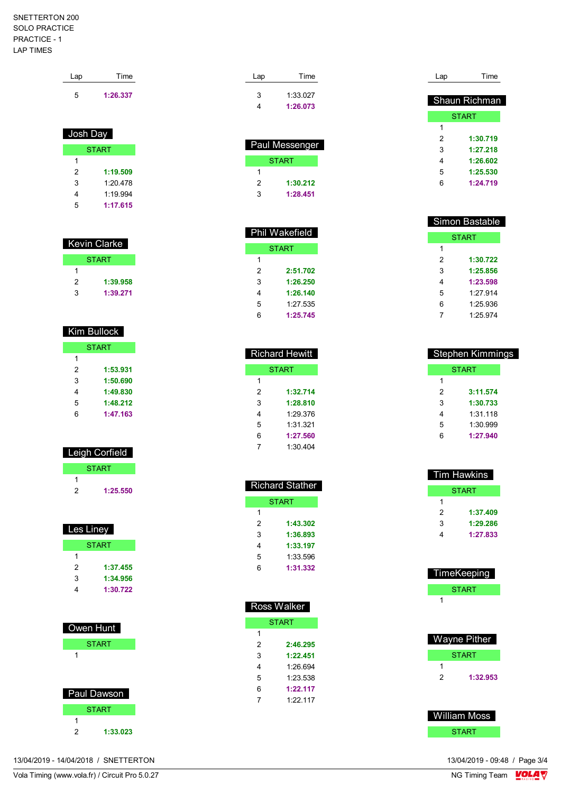#### SNETTERTON 200 SOLO PRACTICE PRACTICE - 1 LAP TIMES

| Lap | Time     |  |
|-----|----------|--|
| 5   | 1:26.337 |  |

## Josh Day

|   | <b>START</b> |
|---|--------------|
| 1 |              |
| 2 | 1:19.509     |
| 3 | 1.20 478     |
| 4 | 1.19.994     |
| 5 | 1:17.615     |

| Kevin Clarke |  |  |
|--------------|--|--|
| <b>START</b> |  |  |
|              |  |  |
| 1:39.958     |  |  |
| 1:39.271     |  |  |
|              |  |  |

## Kim Bullock

|   | <b>START</b> |
|---|--------------|
| 1 |              |
| 2 | 1:53.931     |
| 3 | 1:50.690     |
| 4 | 1:49.830     |
| 5 | 1:48.212     |
| հ | 1:47.163     |

# Leigh Corfield

|   | <b>START</b> |
|---|--------------|
|   |              |
| 2 | 1:25.550     |

| Les Liney |  |
|-----------|--|
|           |  |
|           |  |
|           |  |
|           |  |
|           |  |
|           |  |

| Owen Hunt     |  |
|---------------|--|
| <b>START</b>  |  |
| 1             |  |
|               |  |
|               |  |
| Paul Dawson   |  |
| <b>START</b>  |  |
| 1             |  |
| 2<br>1:33.023 |  |

| Lap | Time     |
|-----|----------|
| 3   | 1:33.027 |
| Δ   | 1:26.073 |

| Paul Messenger |          |
|----------------|----------|
|                | START    |
| 1              |          |
| 2              | 1:30.212 |
| 3              | 1:28.451 |

|                       | Phil Wakefield |
|-----------------------|----------------|
|                       | START          |
| 1                     |                |
| 2                     | 2:51.702       |
| 3                     | 1:26.250       |
| 4                     | 1:26.140       |
| 5                     | 1:27.535       |
| $\boldsymbol{\kappa}$ | 1:25.745       |

| <b>Richard Hewitt</b> |              |
|-----------------------|--------------|
|                       | <b>START</b> |
| 1                     |              |
| 2                     | 1:32.714     |
| 3                     | 1:28.810     |
| 4                     | 1.29.376     |
| 5                     | 1:31.321     |
| 6                     | 1:27.560     |
|                       | 1:30.404     |

| <b>Richard Stather</b> |
|------------------------|
| <b>START</b>           |
|                        |
| 1:43.302               |
| 1:36.893               |
| 1:33.197               |
| 1:33.596               |
| 1:31.332               |
|                        |

| Ross Walker |              |  |
|-------------|--------------|--|
|             | <b>START</b> |  |
| 1           |              |  |
| 2           | 2:46.295     |  |
| 3           | 1:22.451     |  |
| 4           | 1.26.694     |  |
| 5           | 1:23.538     |  |
| 6           | 1・22 117     |  |
| 7           | 1.22 117     |  |
|             |              |  |

| Lap | Time          |
|-----|---------------|
|     |               |
|     | Shaun Richman |
|     | <b>START</b>  |
| 1   |               |
| 2   | 1:30.719      |
| 3   | 1:27.218      |
| 4   | 1:26.602      |
| 5   | 1:25.530      |
| 6   | 1:24.719      |
|     |               |

| Simon Bastable |          |  |
|----------------|----------|--|
| <b>START</b>   |          |  |
| 1              |          |  |
| 2              | 1:30.722 |  |
| 3              | 1:25.856 |  |
| 4              | 1:23.598 |  |
| 5              | 1.27 914 |  |
| 6              | 1:25.936 |  |
|                | 1:25.974 |  |

| Stephen Kimmings |          |  |
|------------------|----------|--|
| START            |          |  |
| 1                |          |  |
| 2                | 3:11.574 |  |
| 3                | 1:30.733 |  |
| 4                | 1:31.118 |  |
| 5                | 1:30.999 |  |
| 6                | 1:27.940 |  |

| Tim Hawkins  |          |  |
|--------------|----------|--|
| <b>START</b> |          |  |
|              |          |  |
| 2            | 1:37.409 |  |
| 3            | 1:29.286 |  |
|              | 1:27.833 |  |
|              |          |  |

| TimeKeeping  |
|--------------|
| <b>START</b> |
|              |

| Wayne Pither |          |  |
|--------------|----------|--|
| <b>START</b> |          |  |
|              |          |  |
| 2            | 1:32.953 |  |

 William Moss **START**